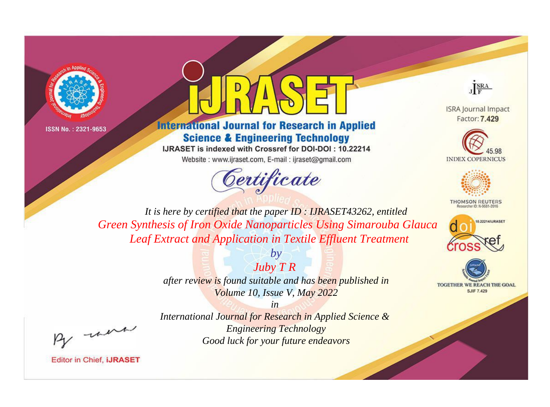



**International Journal for Research in Applied Science & Engineering Technology** 

IJRASET is indexed with Crossref for DOI-DOI: 10.22214 Website: www.ijraset.com, E-mail: ijraset@gmail.com



JERA

**ISRA Journal Impact** Factor: 7.429





**THOMSON REUTERS** 



TOGETHER WE REACH THE GOAL **SJIF 7.429** 

*It is here by certified that the paper ID : IJRASET43262, entitled Green Synthesis of Iron Oxide Nanoparticles Using Simarouba Glauca Leaf Extract and Application in Textile Effluent Treatment*

> *Juby T R after review is found suitable and has been published in Volume 10, Issue V, May 2022*

> > *in*

*by*

, un

*International Journal for Research in Applied Science & Engineering Technology Good luck for your future endeavors*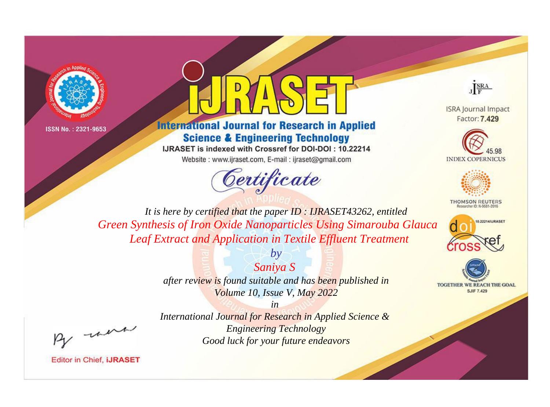



## **International Journal for Research in Applied Science & Engineering Technology**

IJRASET is indexed with Crossref for DOI-DOI: 10.22214 Website: www.ijraset.com, E-mail: ijraset@gmail.com



JERA

**ISRA Journal Impact** Factor: 7.429





**THOMSON REUTERS** 



TOGETHER WE REACH THE GOAL **SJIF 7.429** 

*It is here by certified that the paper ID : IJRASET43262, entitled Green Synthesis of Iron Oxide Nanoparticles Using Simarouba Glauca Leaf Extract and Application in Textile Effluent Treatment*

> *Saniya S after review is found suitable and has been published in Volume 10, Issue V, May 2022*

*by*

, un

*International Journal for Research in Applied Science & Engineering Technology Good luck for your future endeavors*

*in*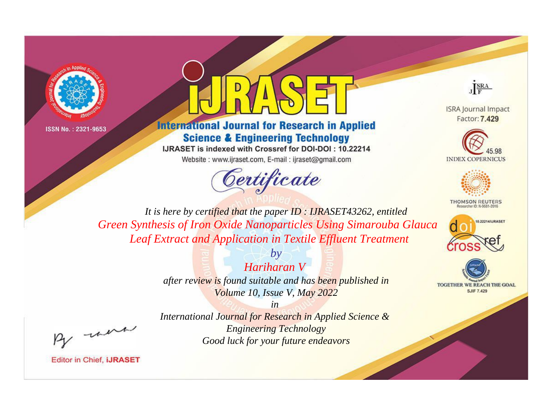



## **International Journal for Research in Applied Science & Engineering Technology**

IJRASET is indexed with Crossref for DOI-DOI: 10.22214 Website: www.ijraset.com, E-mail: ijraset@gmail.com





**ISRA Journal Impact** Factor: 7.429





**THOMSON REUTERS** 



TOGETHER WE REACH THE GOAL **SJIF 7.429** 

*It is here by certified that the paper ID : IJRASET43262, entitled Green Synthesis of Iron Oxide Nanoparticles Using Simarouba Glauca Leaf Extract and Application in Textile Effluent Treatment*

> *by Hariharan V after review is found suitable and has been published in Volume 10, Issue V, May 2022*

, un

*International Journal for Research in Applied Science & Engineering Technology Good luck for your future endeavors*

*in*